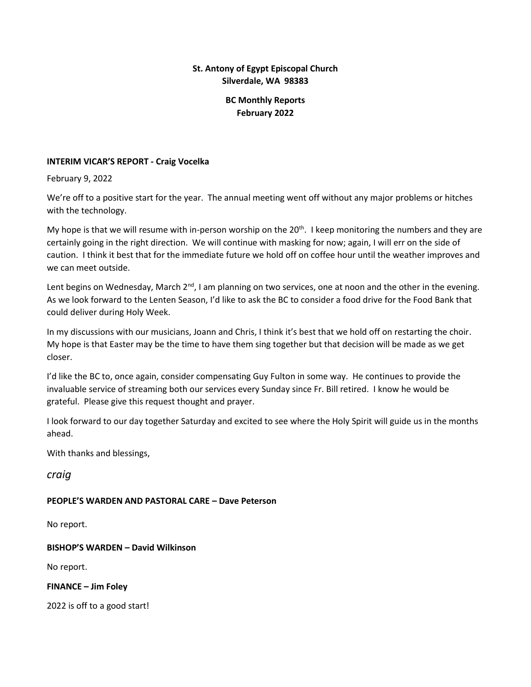## **St. Antony of Egypt Episcopal Church Silverdale, WA 98383**

# **BC Monthly Reports February 2022**

### **INTERIM VICAR'S REPORT - Craig Vocelka**

February 9, 2022

We're off to a positive start for the year. The annual meeting went off without any major problems or hitches with the technology.

My hope is that we will resume with in-person worship on the  $20<sup>th</sup>$ . I keep monitoring the numbers and they are certainly going in the right direction. We will continue with masking for now; again, I will err on the side of caution. I think it best that for the immediate future we hold off on coffee hour until the weather improves and we can meet outside.

Lent begins on Wednesday, March  $2^{nd}$ , I am planning on two services, one at noon and the other in the evening. As we look forward to the Lenten Season, I'd like to ask the BC to consider a food drive for the Food Bank that could deliver during Holy Week.

In my discussions with our musicians, Joann and Chris, I think it's best that we hold off on restarting the choir. My hope is that Easter may be the time to have them sing together but that decision will be made as we get closer.

I'd like the BC to, once again, consider compensating Guy Fulton in some way. He continues to provide the invaluable service of streaming both our services every Sunday since Fr. Bill retired. I know he would be grateful. Please give this request thought and prayer.

I look forward to our day together Saturday and excited to see where the Holy Spirit will guide us in the months ahead.

With thanks and blessings,

*craig*

## **PEOPLE'S WARDEN AND PASTORAL CARE – Dave Peterson**

No report.

**BISHOP'S WARDEN – David Wilkinson**

No report.

**FINANCE – Jim Foley**

2022 is off to a good start!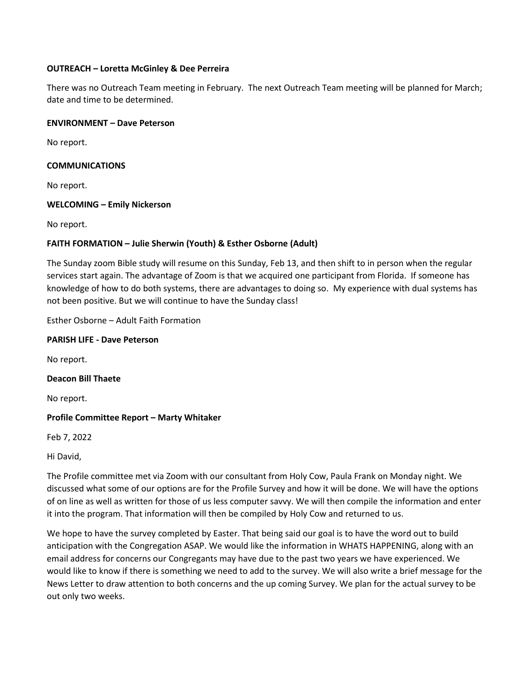#### **OUTREACH – Loretta McGinley & Dee Perreira**

There was no Outreach Team meeting in February. The next Outreach Team meeting will be planned for March; date and time to be determined.

#### **ENVIRONMENT – Dave Peterson**

No report.

### **COMMUNICATIONS**

No report.

### **WELCOMING – Emily Nickerson**

No report.

## **FAITH FORMATION – Julie Sherwin (Youth) & Esther Osborne (Adult)**

The Sunday zoom Bible study will resume on this Sunday, Feb 13, and then shift to in person when the regular services start again. The advantage of Zoom is that we acquired one participant from Florida. If someone has knowledge of how to do both systems, there are advantages to doing so. My experience with dual systems has not been positive. But we will continue to have the Sunday class!

Esther Osborne – Adult Faith Formation

#### **PARISH LIFE - Dave Peterson**

No report.

**Deacon Bill Thaete**

No report.

## **Profile Committee Report – Marty Whitaker**

Feb 7, 2022

Hi David,

The Profile committee met via Zoom with our consultant from Holy Cow, Paula Frank on Monday night. We discussed what some of our options are for the Profile Survey and how it will be done. We will have the options of on line as well as written for those of us less computer savvy. We will then compile the information and enter it into the program. That information will then be compiled by Holy Cow and returned to us.

We hope to have the survey completed by Easter. That being said our goal is to have the word out to build anticipation with the Congregation ASAP. We would like the information in WHATS HAPPENING, along with an email address for concerns our Congregants may have due to the past two years we have experienced. We would like to know if there is something we need to add to the survey. We will also write a brief message for the News Letter to draw attention to both concerns and the up coming Survey. We plan for the actual survey to be out only two weeks.